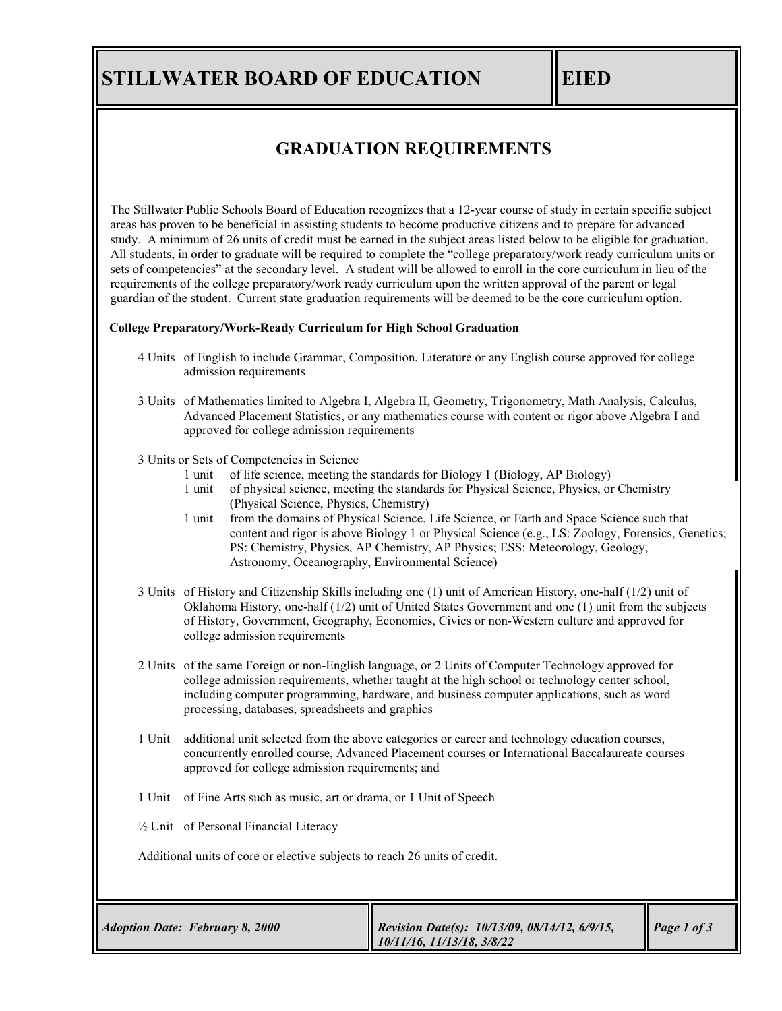## **STILLWATER BOARD OF EDUCATION EIED**

## **GRADUATION REQUIREMENTS**

The Stillwater Public Schools Board of Education recognizes that a 12-year course of study in certain specific subject areas has proven to be beneficial in assisting students to become productive citizens and to prepare for advanced study. A minimum of 26 units of credit must be earned in the subject areas listed below to be eligible for graduation. All students, in order to graduate will be required to complete the "college preparatory/work ready curriculum units or sets of competencies" at the secondary level. A student will be allowed to enroll in the core curriculum in lieu of the requirements of the college preparatory/work ready curriculum upon the written approval of the parent or legal guardian of the student. Current state graduation requirements will be deemed to be the core curriculum option.

## **College Preparatory/Work-Ready Curriculum for High School Graduation**

- 4 Units of English to include Grammar, Composition, Literature or any English course approved for college admission requirements
- 3 Units of Mathematics limited to Algebra I, Algebra II, Geometry, Trigonometry, Math Analysis, Calculus, Advanced Placement Statistics, or any mathematics course with content or rigor above Algebra I and approved for college admission requirements
- 3 Units or Sets of Competencies in Science
	- 1 unit of life science, meeting the standards for Biology 1 (Biology, AP Biology)
	- 1 unit of physical science, meeting the standards for Physical Science, Physics, or Chemistry (Physical Science, Physics, Chemistry)
	- 1 unit from the domains of Physical Science, Life Science, or Earth and Space Science such that content and rigor is above Biology 1 or Physical Science (e.g., LS: Zoology, Forensics, Genetics; PS: Chemistry, Physics, AP Chemistry, AP Physics; ESS: Meteorology, Geology, Astronomy, Oceanography, Environmental Science)
- 3 Units of History and Citizenship Skills including one (1) unit of American History, one-half (1/2) unit of Oklahoma History, one-half (1/2) unit of United States Government and one (1) unit from the subjects of History, Government, Geography, Economics, Civics or non-Western culture and approved for college admission requirements
- 2 Units of the same Foreign or non-English language, or 2 Units of Computer Technology approved for college admission requirements, whether taught at the high school or technology center school, including computer programming, hardware, and business computer applications, such as word processing, databases, spreadsheets and graphics
- 1 Unit additional unit selected from the above categories or career and technology education courses, concurrently enrolled course, Advanced Placement courses or International Baccalaureate courses approved for college admission requirements; and
- 1 Unit of Fine Arts such as music, art or drama, or 1 Unit of Speech
- ½ Unit of Personal Financial Literacy

Additional units of core or elective subjects to reach 26 units of credit.

| Revision Date(s): $10/13/09$ , $08/14/12$ , $6/9/15$ ,<br>$\vert$ Page 1 of 3<br><b>Adoption Date: February 8, 2000</b><br>$10/11/16$ , $11/13/18$ , $3/8/22$ |  |
|---------------------------------------------------------------------------------------------------------------------------------------------------------------|--|
|---------------------------------------------------------------------------------------------------------------------------------------------------------------|--|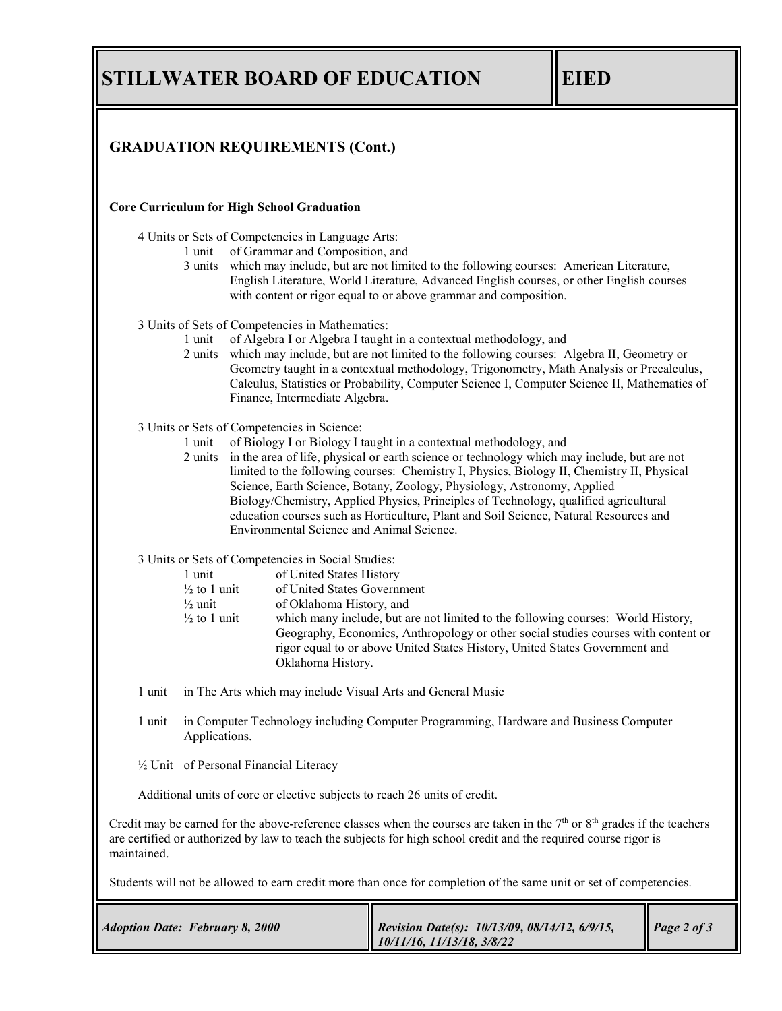**STILLWATER BOARD OF EDUCATION EIED** 

| <b>GRADUATION REQUIREMENTS (Cont.)</b>                                                                                                                                                                                                                          |                                                                                                                                                                                                                                                                                                                                                                                                                                                                                                               |                                                                                                                                                                                                                                                                                                                                                                                                                                                                                                                                    |             |  |
|-----------------------------------------------------------------------------------------------------------------------------------------------------------------------------------------------------------------------------------------------------------------|---------------------------------------------------------------------------------------------------------------------------------------------------------------------------------------------------------------------------------------------------------------------------------------------------------------------------------------------------------------------------------------------------------------------------------------------------------------------------------------------------------------|------------------------------------------------------------------------------------------------------------------------------------------------------------------------------------------------------------------------------------------------------------------------------------------------------------------------------------------------------------------------------------------------------------------------------------------------------------------------------------------------------------------------------------|-------------|--|
| <b>Core Curriculum for High School Graduation</b>                                                                                                                                                                                                               |                                                                                                                                                                                                                                                                                                                                                                                                                                                                                                               |                                                                                                                                                                                                                                                                                                                                                                                                                                                                                                                                    |             |  |
|                                                                                                                                                                                                                                                                 | 4 Units or Sets of Competencies in Language Arts:<br>1 unit of Grammar and Composition, and<br>3 units which may include, but are not limited to the following courses: American Literature,<br>English Literature, World Literature, Advanced English courses, or other English courses<br>with content or rigor equal to or above grammar and composition.                                                                                                                                                  |                                                                                                                                                                                                                                                                                                                                                                                                                                                                                                                                    |             |  |
|                                                                                                                                                                                                                                                                 | 3 Units of Sets of Competencies in Mathematics:<br>of Algebra I or Algebra I taught in a contextual methodology, and<br>1 unit<br>2 units which may include, but are not limited to the following courses: Algebra II, Geometry or<br>Geometry taught in a contextual methodology, Trigonometry, Math Analysis or Precalculus,<br>Calculus, Statistics or Probability, Computer Science I, Computer Science II, Mathematics of<br>Finance, Intermediate Algebra.                                              |                                                                                                                                                                                                                                                                                                                                                                                                                                                                                                                                    |             |  |
| 1 unit                                                                                                                                                                                                                                                          | 3 Units or Sets of Competencies in Science:<br>Environmental Science and Animal Science.                                                                                                                                                                                                                                                                                                                                                                                                                      | of Biology I or Biology I taught in a contextual methodology, and<br>2 units in the area of life, physical or earth science or technology which may include, but are not<br>limited to the following courses: Chemistry I, Physics, Biology II, Chemistry II, Physical<br>Science, Earth Science, Botany, Zoology, Physiology, Astronomy, Applied<br>Biology/Chemistry, Applied Physics, Principles of Technology, qualified agricultural<br>education courses such as Horticulture, Plant and Soil Science, Natural Resources and |             |  |
|                                                                                                                                                                                                                                                                 | 3 Units or Sets of Competencies in Social Studies:<br>of United States History<br>1 unit<br>of United States Government<br>$\frac{1}{2}$ to 1 unit<br>$\frac{1}{2}$ unit<br>of Oklahoma History, and<br>$\frac{1}{2}$ to 1 unit<br>which many include, but are not limited to the following courses: World History,<br>Geography, Economics, Anthropology or other social studies courses with content or<br>rigor equal to or above United States History, United States Government and<br>Oklahoma History. |                                                                                                                                                                                                                                                                                                                                                                                                                                                                                                                                    |             |  |
| 1 unit in The Arts which may include Visual Arts and General Music                                                                                                                                                                                              |                                                                                                                                                                                                                                                                                                                                                                                                                                                                                                               |                                                                                                                                                                                                                                                                                                                                                                                                                                                                                                                                    |             |  |
| in Computer Technology including Computer Programming, Hardware and Business Computer<br>l unit<br>Applications.                                                                                                                                                |                                                                                                                                                                                                                                                                                                                                                                                                                                                                                                               |                                                                                                                                                                                                                                                                                                                                                                                                                                                                                                                                    |             |  |
| 1/2 Unit of Personal Financial Literacy                                                                                                                                                                                                                         |                                                                                                                                                                                                                                                                                                                                                                                                                                                                                                               |                                                                                                                                                                                                                                                                                                                                                                                                                                                                                                                                    |             |  |
| Additional units of core or elective subjects to reach 26 units of credit.                                                                                                                                                                                      |                                                                                                                                                                                                                                                                                                                                                                                                                                                                                                               |                                                                                                                                                                                                                                                                                                                                                                                                                                                                                                                                    |             |  |
| Credit may be earned for the above-reference classes when the courses are taken in the $7th$ or $8th$ grades if the teachers<br>are certified or authorized by law to teach the subjects for high school credit and the required course rigor is<br>maintained. |                                                                                                                                                                                                                                                                                                                                                                                                                                                                                                               |                                                                                                                                                                                                                                                                                                                                                                                                                                                                                                                                    |             |  |
| Students will not be allowed to earn credit more than once for completion of the same unit or set of competencies.                                                                                                                                              |                                                                                                                                                                                                                                                                                                                                                                                                                                                                                                               |                                                                                                                                                                                                                                                                                                                                                                                                                                                                                                                                    |             |  |
| <b>Adoption Date: February 8, 2000</b>                                                                                                                                                                                                                          |                                                                                                                                                                                                                                                                                                                                                                                                                                                                                                               | Revision Date(s): 10/13/09, 08/14/12, 6/9/15,                                                                                                                                                                                                                                                                                                                                                                                                                                                                                      | Page 2 of 3 |  |

*10/11/16, 11/13/18, 3/8/22*